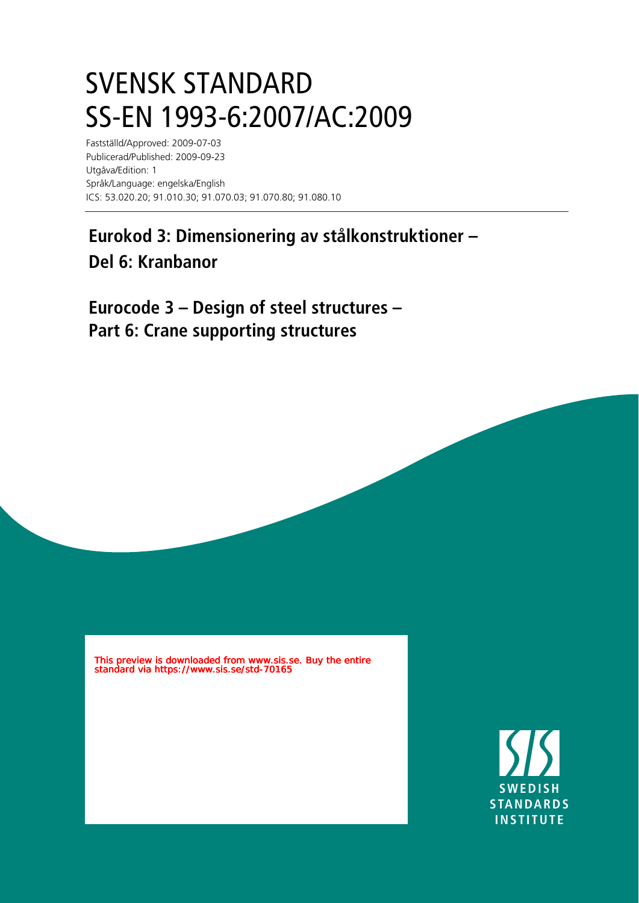## SVENSK STANDARD SS-EN 1993-6:2007/AC:2009

Fastställd/Approved: 2009-07-03 Publicerad/Published: 2009-09-23 Utgåva/Edition: 1 Språk/Language: engelska/English ICS: 53.020.20; 91.010.30; 91.070.03; 91.070.80; 91.080.10

## **Eurokod 3: Dimensionering av stålkonstruktioner – Del 6: Kranbanor**

**Eurocode 3 – Design of steel structures – Part 6: Crane supporting structures**

This preview is downloaded from www.sis.se. Buy the entire standard via https://www.sis.se/std-70165

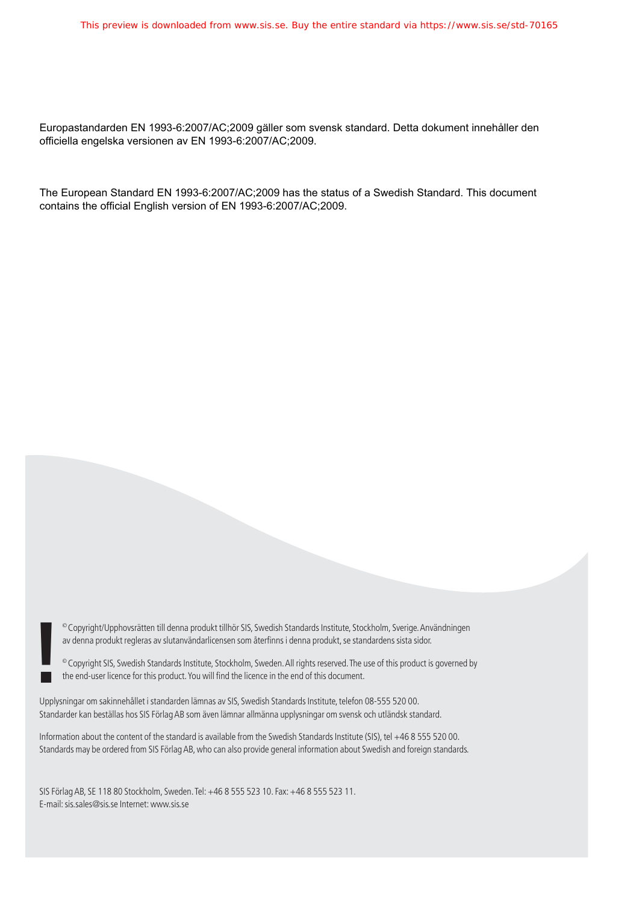Europastandarden EN 1993-6:2007/AC;2009 gäller som svensk standard. Detta dokument innehåller den officiella engelska versionen av EN 1993-6:2007/AC;2009.

The European Standard EN 1993-6:2007/AC;2009 has the status of a Swedish Standard. This document contains the official English version of EN 1993-6:2007/AC;2009.

© Copyright/Upphovsrätten till denna produkt tillhör SIS, Swedish Standards Institute, Stockholm, Sverige. Användningen av denna produkt regleras av slutanvändarlicensen som återfinns i denna produkt, se standardens sista sidor.

© Copyright SIS, Swedish Standards Institute, Stockholm, Sweden. All rights reserved. The use of this product is governed by **!**the end-user licence for this product. You will nd the licence in the end of this document.

Upplysningar om sakinnehållet i standarden lämnas av SIS, Swedish Standards Institute, telefon 08-555 520 00. Standarder kan beställas hos SIS Förlag AB som även lämnar allmänna upplysningar om svensk och utländsk standard.

Information about the content of the standard is available from the Swedish Standards Institute (SIS), tel +46 8 555 520 00. Standards may be ordered from SIS Förlag AB, who can also provide general information about Swedish and foreign standards.

SIS Förlag AB, SE 118 80 Stockholm, Sweden. Tel: +46 8 555 523 10. Fax: +46 8 555 523 11. E-mail: sis.sales@sis.se Internet: www.sis.se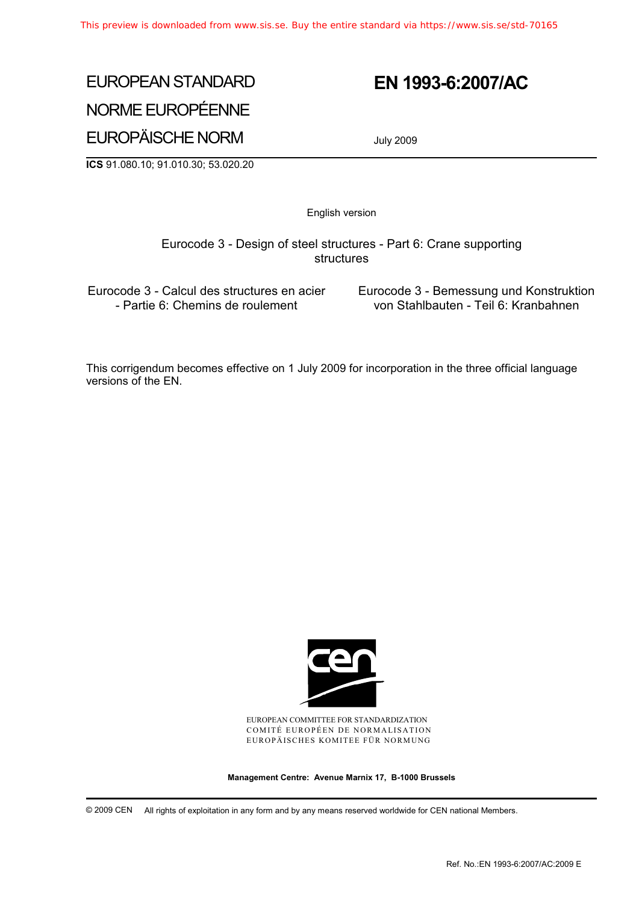## EUROPEAN STANDARD NORME EUROPÉENNE EUROPÄISCHE NORM

### **EN 1993-6:2007/AC**

July 2009

**ICS** 91.080.10; 91.010.30; 53.020.20

English version

 Eurocode 3 - Design of steel structures - Part 6: Crane supporting structures

Eurocode 3 - Calcul des structures en acier - Partie 6: Chemins de roulement

 Eurocode 3 - Bemessung und Konstruktion von Stahlbauten - Teil 6: Kranbahnen

This corrigendum becomes effective on 1 July 2009 for incorporation in the three official language versions of the EN.



EUROPEAN COMMITTEE FOR STANDARDIZATION COMITÉ EUROPÉEN DE NORMALISATION EUROPÄISCHES KOMITEE FÜR NORMUNG

**Management Centre: Avenue Marnix 17, B-1000 Brussels** 

© 2009 CEN All rights of exploitation in any form and by any means reserved worldwide for CEN national Members.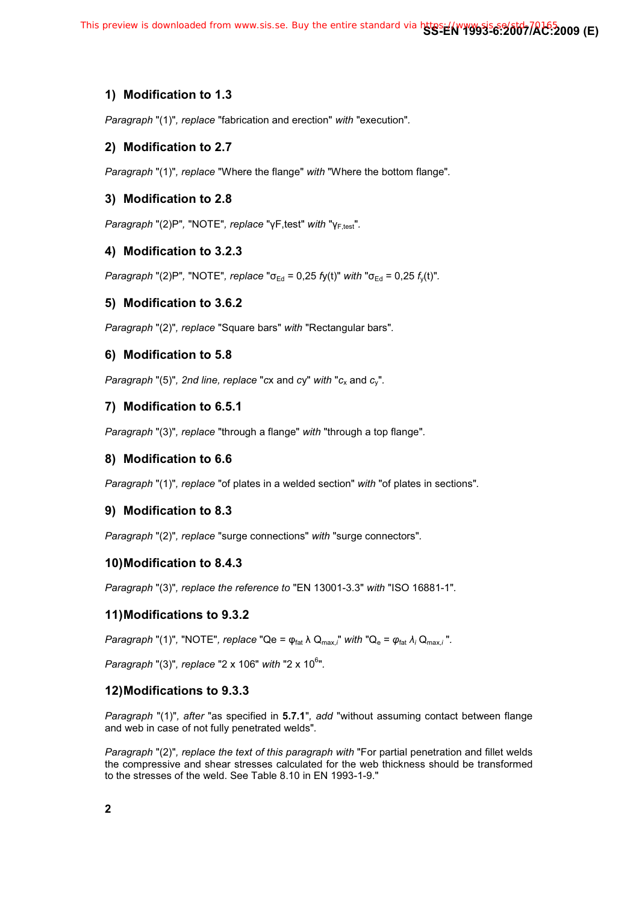#### **1) Modification to 1.3**

*Paragraph* "(1)"*, replace* "fabrication and erection" *with* "execution"*.*

#### **2) Modification to 2.7**

*Paragraph* "(1)"*, replace* "Where the flange" *with* "Where the bottom flange"*.*

#### **3) Modification to 2.8**

*Paragraph* "(2)P", "NOTE"*, replace* "γF,test" *with* "γ<sub>F,test</sub>".

#### **4) Modification to 3.2.3**

*Paragraph* "(2)P", "NOTE", *replace* " $\sigma_{Ed} = 0.25$  *fy(t)" with* " $\sigma_{Ed} = 0.25$  *f<sub>y</sub>(t)".* 

#### **5) Modification to 3.6.2**

*Paragraph* "(2)"*, replace* "Square bars" *with* "Rectangular bars"*.*

#### **6) Modification to 5.8**

*Paragraph* "(5)", 2nd line, replace "*cx* and *cy*" with "*c<sub>x</sub>* and *c<sub>y</sub>*".

#### **7) Modification to 6.5.1**

*Paragraph* "(3)"*, replace* "through a flange" *with* "through a top flange"*.*

#### **8) Modification to 6.6**

*Paragraph* "(1)"*, replace* "of plates in a welded section" *with* "of plates in sections"*.*

#### **9) Modification to 8.3**

*Paragraph* "(2)"*, replace* "surge connections" *with* "surge connectors"*.*

#### **10) Modification to 8.4.3**

*Paragraph* "(3)"*, replace the reference to* "EN 13001-3.3" *with* "ISO 16881-1"*.*

#### **11) Modifications to 9.3.2**

*Paragraph* "(1)", "NOTE", *replace* "Qe =  $\varphi_{\text{fat}}$   $\lambda$  Q<sub>max,</sub>;" with "Q<sub>e</sub> =  $\varphi_{\text{fat}}$   $\lambda$ <sub>*i*</sub> Q<sub>max,*i*</sub>".

*Paragraph* "(3)"*, replace* "2 x 106" *with* "2 x 106 "*.*

#### **12) Modifications to 9.3.3**

*Paragraph* "(1)"*, after* "as specified in **5.7.1**"*, add* "without assuming contact between flange and web in case of not fully penetrated welds"*.*

*Paragraph* "(2)"*, replace the text of this paragraph with* "For partial penetration and fillet welds the compressive and shear stresses calculated for the web thickness should be transformed to the stresses of the weld. See Table 8.10 in EN 1993-1-9."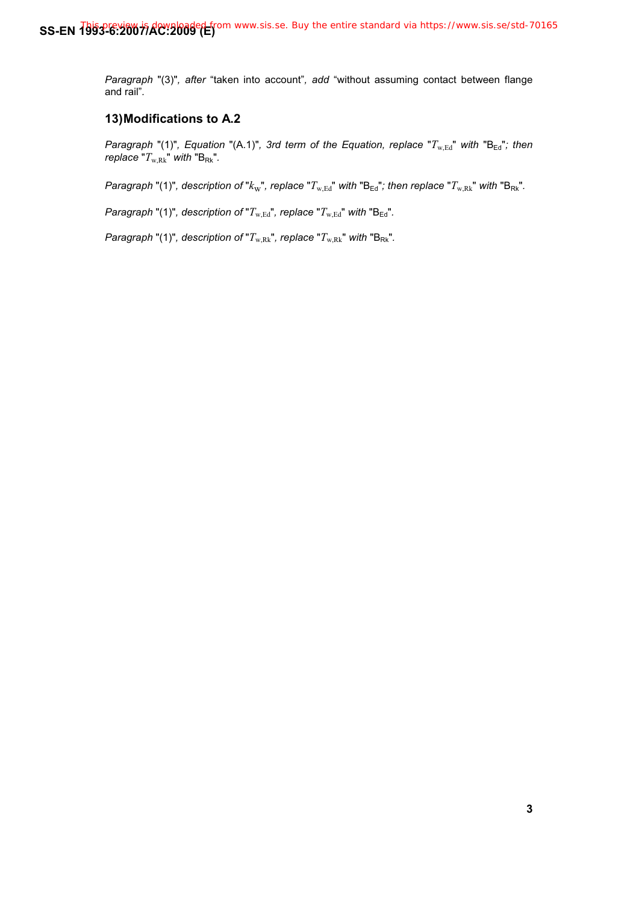*Paragraph* "(3)"*, after* "taken into account"*, add* "without assuming contact between flange and rail"*.*

#### **13) Modifications to A.2**

*Paragraph* "(1)", *Equation* "(A.1)", 3rd term of the Equation, replace " $T_{w,Ed}$ " with "B<sub>Ed</sub>"; then *replace* " $T_{w,Rk}$ " with " $B_{Rk}$ ".

*Paragraph* "(1)", description of " $k_w$ ", replace " $T_{w,Ed}$ " with "B<sub>Ed</sub>"; then replace " $T_{w,Rk}$ " with "B<sub>Rk</sub>".

*Paragraph* "(1)", description of " $T_{w,Ed}$ ", replace " $T_{w,Ed}$ " with "B<sub>Ed</sub>".

*Paragraph* "(1)", description of " $T_{w, Rk}$ ", replace " $T_{w, Rk}$ " with " $B_{Rk}$ ".